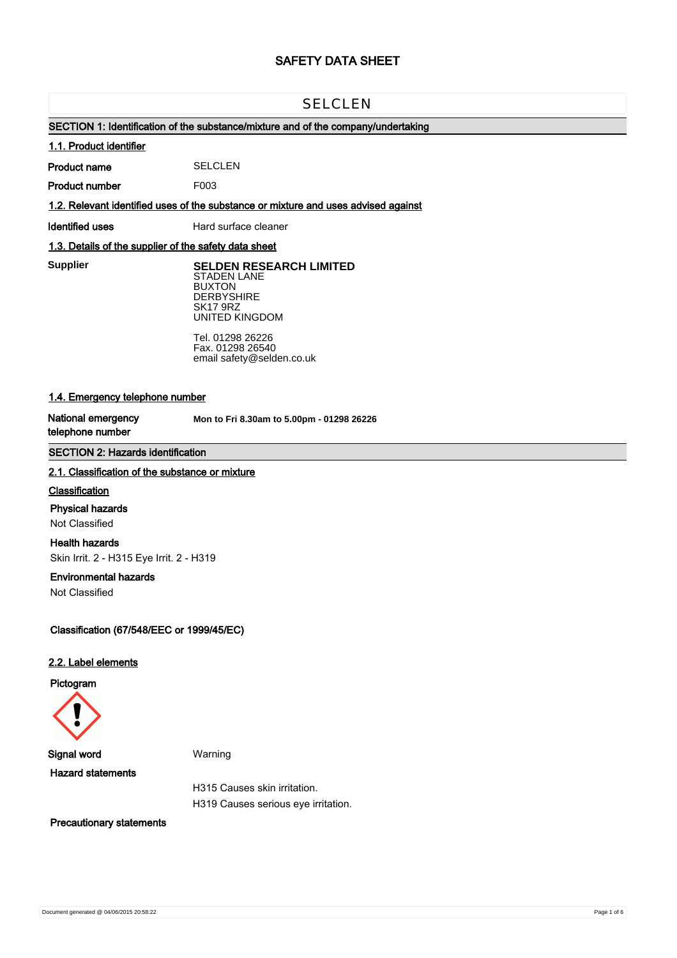# **SAFETY DATA SHEET**

# SELCLEN

# **SECTION 1: Identification of the substance/mixture and of the company/undertaking**

# **1.1. Product identifier**

**Product name SELCLEN** 

**Product number** F003

**1.2. Relevant identified uses of the substance or mixture and uses advised against**

**Identified uses** Hard surface cleaner

# **1.3. Details of the supplier of the safety data sheet**

**Supplier** 

**Supplier SELDEN RESEARCH LIMITED** STADEN LANE BUXTON **DERBYSHIRE** SK17 9RZ UNITED KINGDOM

> Tel. 01298 26226 Fax. 01298 26540 email safety@selden.co.uk

# **1.4. Emergency telephone number**

**National emergency telephone number**

**Mon to Fri 8.30am to 5.00pm - 01298 26226**

# **SECTION 2: Hazards identification**

# **2.1. Classification of the substance or mixture**

#### **Classification**

#### **Physical hazards**

Not Classified

## **Health hazards**

Skin Irrit. 2 - H315 Eye Irrit. 2 - H319

#### **Environmental hazards**

Not Classified

**Classification (67/548/EEC or 1999/45/EC)**

#### **2.2. Label elements**

**Pictogram**



**Signal word** Warning **Hazard statements**

H315 Causes skin irritation. H319 Causes serious eye irritation.

**Precautionary statements**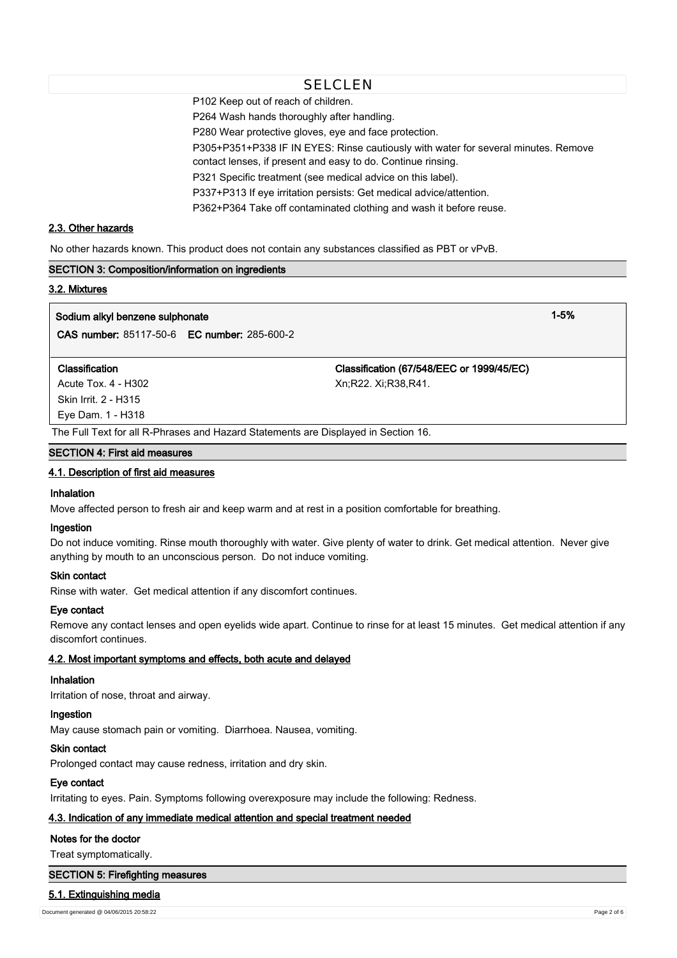# **SELCLEN**

P102 Keep out of reach of children.

P264 Wash hands thoroughly after handling.

P280 Wear protective gloves, eye and face protection.

P305+P351+P338 IF IN EYES: Rinse cautiously with water for several minutes. Remove

contact lenses, if present and easy to do. Continue rinsing.

P321 Specific treatment (see medical advice on this label).

P337+P313 If eye irritation persists: Get medical advice/attention.

P362+P364 Take off contaminated clothing and wash it before reuse.

# **2.3. Other hazards**

No other hazards known. This product does not contain any substances classified as PBT or vPvB.

# **SECTION 3: Composition/information on ingredients**

#### **3.2. Mixtures**

# **Sodium alkyl benzene sulphonate 1-5%**

**CAS number:** 85117-50-6 **EC number:** 285-600-2

Acute Tox. 4 - H302 Xn;R22. Xi;R38,R41. Skin Irrit. 2 - H315 Eye Dam. 1 - H318

**Classification Classification (67/548/EEC or 1999/45/EC)**

The Full Text for all R-Phrases and Hazard Statements are Displayed in Section 16.

#### **SECTION 4: First aid measures**

#### **4.1. Description of first aid measures**

# **Inhalation**

Move affected person to fresh air and keep warm and at rest in a position comfortable for breathing.

## **Ingestion**

Do not induce vomiting. Rinse mouth thoroughly with water. Give plenty of water to drink. Get medical attention. Never give anything by mouth to an unconscious person. Do not induce vomiting.

# **Skin contact**

Rinse with water. Get medical attention if any discomfort continues.

# **Eye contact**

Remove any contact lenses and open eyelids wide apart. Continue to rinse for at least 15 minutes. Get medical attention if any discomfort continues.

# **4.2. Most important symptoms and effects, both acute and delayed**

# **Inhalation**

Irritation of nose, throat and airway.

# **Ingestion**

May cause stomach pain or vomiting. Diarrhoea. Nausea, vomiting.

# **Skin contact**

Prolonged contact may cause redness, irritation and dry skin.

# **Eye contact**

Irritating to eyes. Pain. Symptoms following overexposure may include the following: Redness.

# **4.3. Indication of any immediate medical attention and special treatment needed**

# **Notes for the doctor**

Treat symptomatically.

# **SECTION 5: Firefighting measures**

# **5.1. Extinguishing media**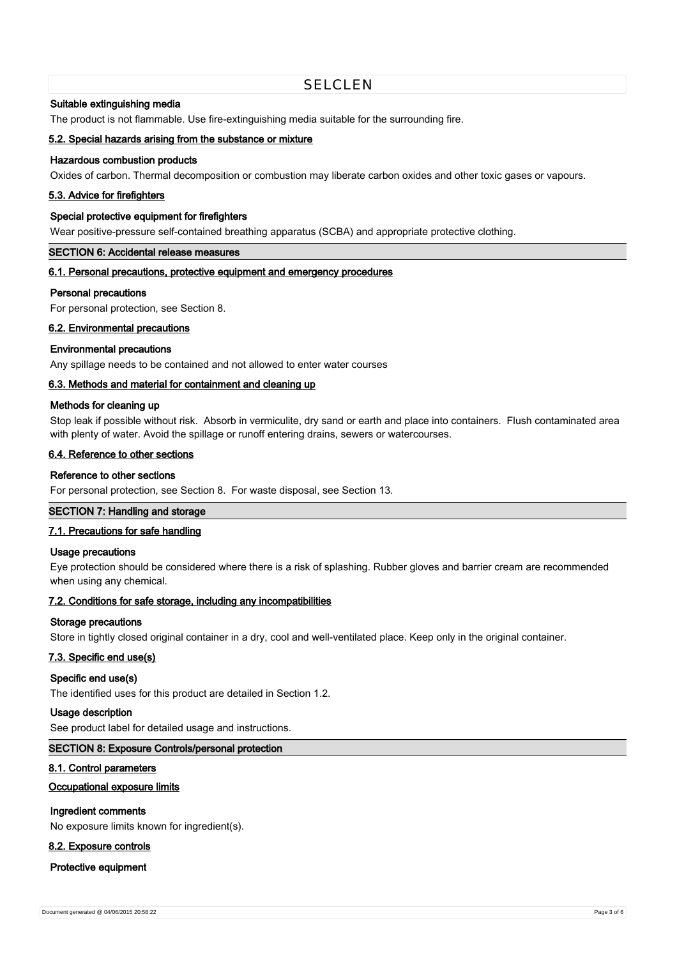# **SELCLEN**

## **Suitable extinguishing media**

The product is not flammable. Use fire-extinguishing media suitable for the surrounding fire.

# **5.2. Special hazards arising from the substance or mixture**

# **Hazardous combustion products**

Oxides of carbon. Thermal decomposition or combustion may liberate carbon oxides and other toxic gases or vapours.

# **5.3. Advice for firefighters**

# **Special protective equipment for firefighters**

Wear positive-pressure self-contained breathing apparatus (SCBA) and appropriate protective clothing.

#### **SECTION 6: Accidental release measures**

# **6.1. Personal precautions, protective equipment and emergency procedures**

#### **Personal precautions**

For personal protection, see Section 8.

## **6.2. Environmental precautions**

#### **Environmental precautions**

Any spillage needs to be contained and not allowed to enter water courses

# **6.3. Methods and material for containment and cleaning up**

## **Methods for cleaning up**

Stop leak if possible without risk. Absorb in vermiculite, dry sand or earth and place into containers. Flush contaminated area with plenty of water. Avoid the spillage or runoff entering drains, sewers or watercourses.

# **6.4. Reference to other sections**

# **Reference to other sections**

For personal protection, see Section 8. For waste disposal, see Section 13.

# **SECTION 7: Handling and storage**

# **7.1. Precautions for safe handling**

#### **Usage precautions**

Eye protection should be considered where there is a risk of splashing. Rubber gloves and barrier cream are recommended when using any chemical.

#### **7.2. Conditions for safe storage, including any incompatibilities**

#### **Storage precautions**

Store in tightly closed original container in a dry, cool and well-ventilated place. Keep only in the original container.

#### **7.3. Specific end use(s)**

# **Specific end use(s)**

The identified uses for this product are detailed in Section 1.2.

# **Usage description**

See product label for detailed usage and instructions.

#### **SECTION 8: Exposure Controls/personal protection**

#### **8.1. Control parameters**

# **Occupational exposure limits**

#### **Ingredient comments**

No exposure limits known for ingredient(s).

## **8.2. Exposure controls**

**Protective equipment**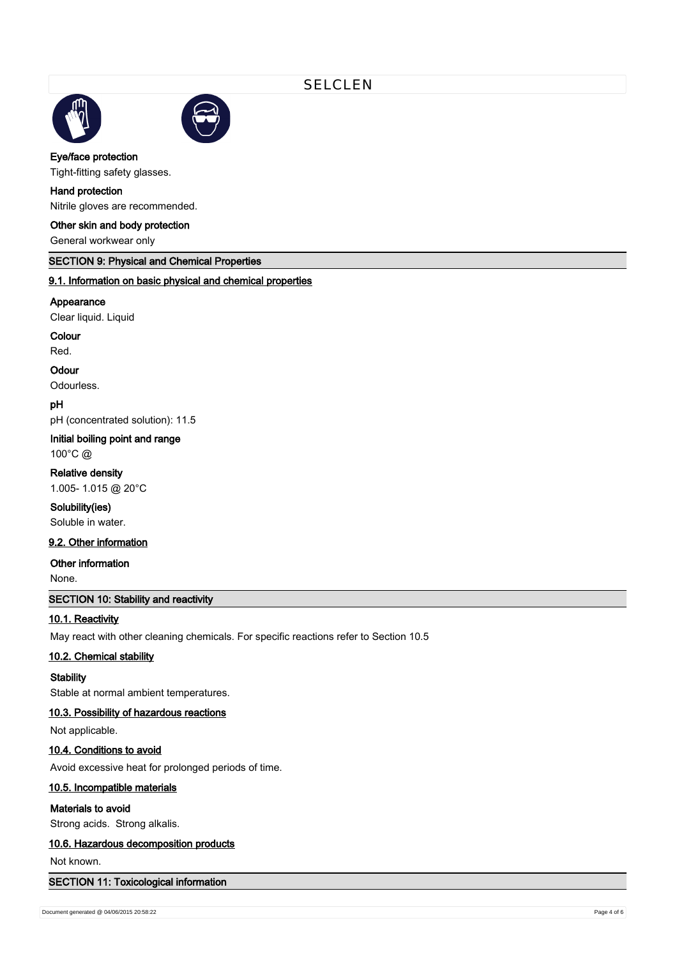



# **Eye/face protection**

Tight-fitting safety glasses.

# **Hand protection**

Nitrile gloves are recommended.

# **Other skin and body protection**

General workwear only

# **SECTION 9: Physical and Chemical Properties**

# **9.1. Information on basic physical and chemical properties**

#### **Appearance**

Clear liquid. Liquid

**Colour**

Red.

# **Odour**

Odourless.

**pH**

pH (concentrated solution): 11.5

# **Initial boiling point and range**

100°C @

# **Relative density**

1.005- 1.015 @ 20°C

# **Solubility(ies)**

Soluble in water.

# **9.2. Other information**

# **Other information**

None.

# **SECTION 10: Stability and reactivity**

# **10.1. Reactivity**

May react with other cleaning chemicals. For specific reactions refer to Section 10.5

# **10.2. Chemical stability**

# **Stability**

Stable at normal ambient temperatures.

# **10.3. Possibility of hazardous reactions**

Not applicable.

# **10.4. Conditions to avoid**

Avoid excessive heat for prolonged periods of time.

# **10.5. Incompatible materials**

# **Materials to avoid**

Strong acids. Strong alkalis.

# **10.6. Hazardous decomposition products**

Not known.

# **SECTION 11: Toxicological information**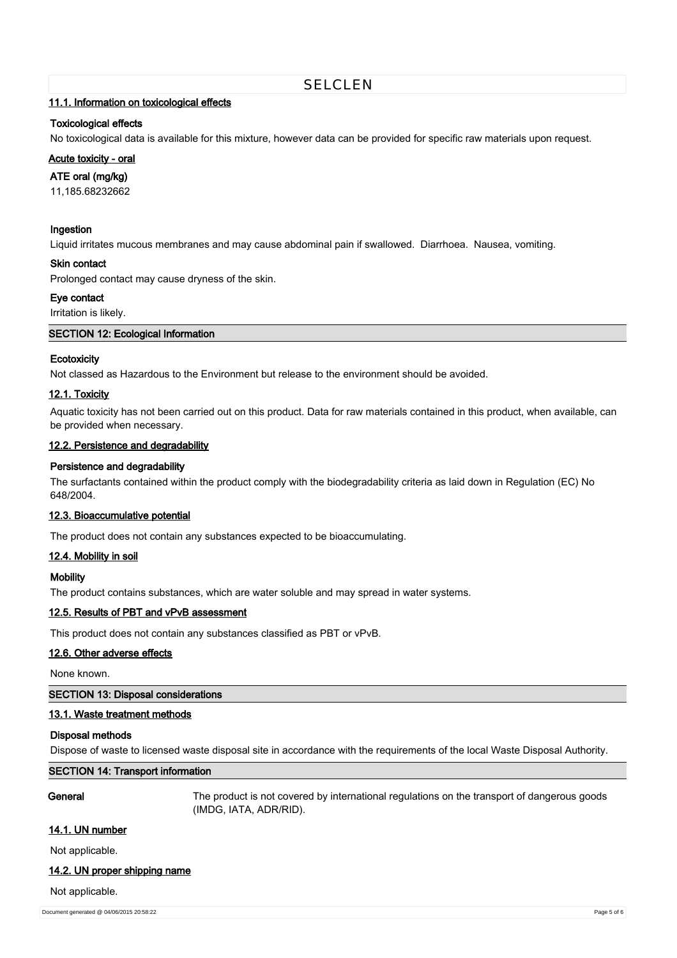# **11.1. Information on toxicological effects**

# **Toxicological effects**

No toxicological data is available for this mixture, however data can be provided for specific raw materials upon request.

# **Acute toxicity - oral**

# **ATE oral (mg/kg)**

11,185.68232662

# **Ingestion**

Liquid irritates mucous membranes and may cause abdominal pain if swallowed. Diarrhoea. Nausea, vomiting.

#### **Skin contact**

Prolonged contact may cause dryness of the skin.

# **Eye contact**

Irritation is likely.

# **SECTION 12: Ecological Information**

# **Ecotoxicity**

Not classed as Hazardous to the Environment but release to the environment should be avoided.

# **12.1. Toxicity**

Aquatic toxicity has not been carried out on this product. Data for raw materials contained in this product, when available, can be provided when necessary.

# **12.2. Persistence and degradability**

# **Persistence and degradability**

The surfactants contained within the product comply with the biodegradability criteria as laid down in Regulation (EC) No 648/2004.

#### **12.3. Bioaccumulative potential**

The product does not contain any substances expected to be bioaccumulating.

#### **12.4. Mobility in soil**

#### **Mobility**

The product contains substances, which are water soluble and may spread in water systems.

# **12.5. Results of PBT and vPvB assessment**

This product does not contain any substances classified as PBT or vPvB.

# **12.6. Other adverse effects**

None known.

# **SECTION 13: Disposal considerations**

# **13.1. Waste treatment methods**

# **Disposal methods**

Dispose of waste to licensed waste disposal site in accordance with the requirements of the local Waste Disposal Authority.

# **SECTION 14: Transport information**

**General** The product is not covered by international regulations on the transport of dangerous goods (IMDG, IATA, ADR/RID).

#### **14.1. UN number**

Not applicable.

# **14.2. UN proper shipping name**

#### Not applicable.